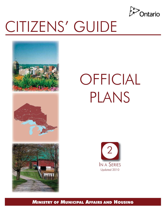

 

# CITIZENS' GUIDE



# OFFICIAL PLANS



MINISTRY OF MUNICIPAL AFFAIRS AND HOUSING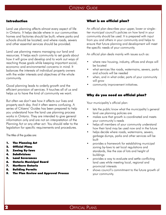## Introduction

Land use planning affects almost every aspect of life in Ontario. It helps decide where in our communities homes and factories should be built; where parks and schools should be located; and where roads, sewers and other essential services should be provided.

Land use planning means managing our land and resources. It helps each community to set goals about how it will grow and develop and to work out ways of reaching those goals while keeping important social, economic and environmental concerns in mind. It balances the interests of individual property owners with the wider interests and objectives of the whole community.

Good planning leads to orderly growth and the efficient provision of services. It touches all of us and helps us to have the kind of community we want.

But often we don't see how it affects our lives and property each day. And it often seems confusing. A series of Citizens' Guides has been prepared to help you understand how the land use planning process works in Ontario. They are intended to give general information only and are not an interpretation of the Planning Act or any other act. You should refer to the legislation for specific requirements and procedures.

The titles of the guides are:

- 1. The Planning Act
- 2. Official Plans
- 3. Zoning By-laws
- 4. Subdivisions
- 5. Land Severances
- 6. Ontario Municipal Board
- 7. Northern Ontario
- 8. Building Permits
- 9. The Plan Review and Approval Process

## What is an official plan?

An official plan describes your upper, lower or single– tier municipal council's policies on how land in your community should be used. It is prepared with input from you and others in your community and helps to ensure that future planning and development will meet the specific needs of your community.

An official plan deals mainly with issues such as:

- where new housing, industry, offices and shops will be located
- what services like roads, watermains, sewers, parks and schools will be needed
- when, and in what order, parts of your community will grow
- community improvement initiatives.

# Why do you need an official plan?

Your municipality's official plan:

- lets the public know what the municipality's general land use planning policies are
- makes sure that growth is coordinated and meets your community's needs
- helps all members of your community understand how their land may be used now and in the future
- helps decide where roads, watermains, sewers, garbage dumps, parks and other services will be built
- provides a framework for establishing municipal zoning by-laws to set local regulations and standards, like the size of lots and height of buildings
- provides a way to evaluate and settle conflicting land uses while meeting local, regional and provincial interests
- shows council's commitment to the future growth of your community.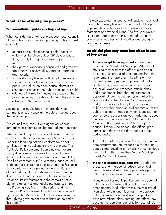# What is the official plan process?

# Pre-consultation, public meeting and input

When considering an official plan, your local council, planning board or municipal planning authority must ensure that:

- at least one public meeting is held, notice of which must be given at least 20 days ahead of time, usually through local newspapers or by mail
- the approval authority is consulted and given the opportunity to review all supporting information and material
- for the statutory five year official plan review, a special meeting of council that is open to the public, as well as an open house information session and at least one public meeting are held
- adequate information, including a copy of the proposed plan, is made available to the public in advance of the public meeting.

Any person or public body may provide written comments and/or speak at the public meeting about the proposed plan.

The council may consult with agencies, boards, authorities or commissions before making a decision.

When council prepares an official plan, it shall be consistent with the Provincial Policy Statement issued under the Planning Act and conform to, or not conflict, with any applicable provincial plans. The Provincial Policy Statement contains clear, overall policy directions on matters of provincial interest related to land use planning and development. The "shall be consistent with" rule means that a council is obliged to ensure that policies under the Provincial Policy Statement are applied as an essential part of the land use planning decision-making process. It is expected that the council will implement the Provincial Policy Statement in the context of other planning objectives and local circumstances. (See The Planning Act, No. 1 in the series, and the Provincial Policy Statement. Both may be obtained by visiting the Ministry website at: ontario.ca/mah or through the government offices listed at the end of this guide.)

It is also expected that council will update the official plan at least every five years to ensure that the plan implements any changes to the Provincial Policy Statement or provincial plans. The five-year review is also an opportunity to ensure the official plan continues to address local priorities and changing community needs.

# An official plan may come into effect in one of two ways:

1. Plans exempt from approval - under this process, the Minister of Municipal Affairs and Housing may exempt the official plan and all or some of its proposed amendments from the requirement for approval. The Minister may also authorize upper-tier approval authorities (such as a regional municipality) to exempt any or all lower-tier proposed official plans and amendments from the requirement for approval. Under the exempt system, after the council adopts the plan and/or amendment and gives a notice of adoption, a person or a public body that made an oral submission at the public meeting or made a written submission to council before a decision was made, may appeal the council's decision to adopt to the Ontario Municipal Board within the 20-day appeal period. If there is no appeal, the official plan comes into effect on the day after the appeal period expires.

The Ontario Municipal Board is an independent administrative tribunal responsible for hearing appeals and deciding on a variety of contentious municipal matters. (See the Ontario Municipal Board, No. 6 in the series.)

2. Plans not exempt from approval - under this process, after the council adopts an official plan, it is submitted to the appropriate approval authority to review and make a decision.

Many upper-tier municipalities are the approval authority for lower-tier official plans and amendments. In all other cases, the Minister of Municipal Affairs and Housing is the approval authority. As more upper-tier municipalities have new official plans coming into effect, they become the approval authority for local official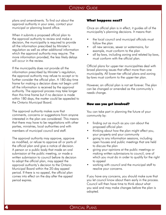plans and amendments. To find out about the approval authority in your area, contact your municipal or planning board office.

When it submits a proposed official plan to the approval authority to review and make a decision, the municipality is required to provide all the information prescribed by Minister's regulation as well as other additional information which the approval authority may require. The more information provided, the less likely delays will occur in the review.

If the municipality does not provide all the information prescribed by Minister's regulation, the approval authority may refuse to accept or to further consider the official plan. A 180-day time frame for making a decision does not begin until all the information is received by the approval authority. The approval process may take longer than this time frame but if no decision is made within 180 days, the matter could be appealed to the Ontario Municipal Board.

The approval authority makes sure that comments, concerns or suggestions from anyone interested in the plan are considered. This means that there may have to be negotiations with other parties, ministries, local authorities and with members of municipal council and staff.

The approval authority may approve, approve as modified, or refuse to approve all or parts of the official plan and give a notice of decision. A person or a public body that made an oral submission at the public meeting, or made a written submission to council before its decision to adopt the official plan, may appeal the approval authority's decision to the Ontario Municipal Board within the 20-day appeal period. If there is no appeal, the official plan comes into effect on the day after the appeal period expires.

#### What happens next?

Once an official plan is in effect, it guides all of the municipality's planning decisions. It means that:

- the local council and municipal officials must follow the plan
- all new services, sewer or watermains, for example, must conform to the plan
- all by-laws, including zoning and related by-laws, must conform with the official plan.

Official plans for upper-tier municipalities deal with broad planning issues that affect more than one municipality. All lower-tier official plans and zoning by-laws must conform to the upper-tier plan.

However, an official plan is not set forever. The plan can be changed or amended as the community's needs change.

#### How can you get involved?

You can take part in planning the future of your community by:

- finding out as much as you can about the proposed official plan
- thinking about how the plan might affect you, your property and your community
- going to any information sessions, including open houses and public meetings that are held to discuss the plan
- giving your opinions at the public meetings or making written submissions to council, one of which you must do in order to qualify for the right to appeal
- working with council and the municipal staff to resolve your concerns.

If you have any concerns, you should make sure that you let council know about them early in the process. Council will then have time to think about what you said and may make changes before the plan is adopted.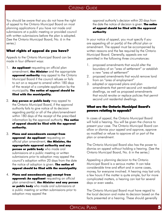You should be aware that you do not have the right of appeal to the Ontario Municipal Board on most planning applications if you have not made oral submissions at a public meeting or provided council with written submissions before the plan is adopted. (See the Ontario Municipal Board, No. 6 in the series.)

# What rights of appeal do you have?

Appeals to the Ontario Municipal Board can be made in four different ways:

- 1. **An applicant** requesting an official plan amendment, **the Minister** and the appropriate **approval authority** may appeal to the Ontario Municipal Board if the council refuses or fails to act on a request to amend within 180 days of the receipt of a complete application by the municipality. The notice of appeal should be filed with the municipality.
- 2. Any person or public body may appeal to the Ontario Municipal Board, if the approval authority fails to give notice of its decision regarding part(s) or all of the plan/amendment within 180 days of the receipt of the prescribed information by the approval authority. The notice of appeal should be filed with the approval authority.
- 3. Plans and amendments exempt from approval: An applicant requesting an official plan amendment, the Minister, the appropriate approval authority and any person or public body who made oral submissions at a public meeting or written submissions prior to adoption may appeal the council's adoption within 20 days from the date the notice of adoption is given. The notice of appeal should be filed with the municipality.
- 4. Plans and amendments not exempt from **approval: An applicant** requesting an official plan amendment, the Minister and any person or public body who made oral submissions at a public meeting or written submissions prior to adoption may appeal the

approval authority's decision within 20 days from the date the notice of decision is given. **The notice** of appeal should be filed with the approval authority.

In your notice of appeal, you must specify if you are appealing all or part(s) of the official plan or amendment. The appeal must be accompanied by written reasons and the fee required by the Ontario Municipal Board. Generally, appeals are not permitted in the following three circumstances:

- 1. proposed amendments that would alter the boundary of an "area of settlement" or establish a new "area of settlement"
- 2. proposed amendments that would remove land from an "area of employment"
- 3. adopted or approved plans and plan amendments that permit second unit residential dwellings, as well as proposed amendments that would revoke or replace policies that permit second unit residential dwellings.

#### What are the Ontario Municipal Board's powers relating to appeals?

In cases of appeal, the Ontario Municipal Board will hold a hearing. You will be given the chance to present your case. The Ontario Municipal Board can allow or dismiss your appeal and approve, approve as modified or refuse to approve all or part of the plan or amendment.

The Ontario Municipal Board also has the power to dismiss an appeal without holding a hearing. (See the Ontario Municipal Board, No. 6 in the series.)

Appealing a planning decision to the Ontario Municipal Board is a serious matter. It can take considerable time and effort and in some cases, money, for everyone involved. A hearing may last only a few hours if the matter is quite simple, but for more complicated matters, a hearing can last for several days or even weeks.

The Ontario Municipal Board must have regard to the local decision and make its decision based on the facts presented at a hearing. These should generally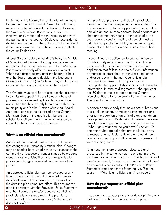be limited to the information and material that were before the municipal council. New information and material can be introduced at a hearing. However, the Ontario Municipal Board may, on its own initiative, or by motion of the municipality or any of the parties, give the council 60 days to reconsider its decision and make a written submission to the Board, if the new information could have materially affected the council's decision.

At least 30 days before a hearing is held, the Minister of Municipal Affairs and Housing can declare that an official plan matter before the Ontario Municipal Board may adversely affect a provincial interest. When such action occurs, after the hearing is held and the Board renders a decision, the Lieutenant Governor in Council (the Cabinet) may confirm, vary or rescind the Board's decision on the matter.

The Ontario Municipal Board also has the discretion to dismiss an appeal if it constitutes an abuse of process, such as repeating the submission of an application that has recently been dealt with by the municipality and/or the Ontario Municipal Board. An appeal can also be dismissed by the Ontario Municipal Board if the application before it is substantially different from that which was before council at the time of council's decision.

#### What is an official plan amendment?

An official plan amendment is a formal document that changes a municipality's official plan. Changes may be needed because of new circumstances in the community or because of requests made by property owners. Most municipalities now charge a fee for processing changes requested by members of the public.

An approved official plan can be reviewed at any time, but each local council is required to revise its official plan not less than every five years from the date the plan came into effect. This ensures the plan is consistent with the Provincial Policy Statement and that it conforms and/or does not conflict with provincial plans, as required. If the plan is not consistent with the Provincial Policy Statement, or does not conform

with provincial plans or conflicts with provincial plans, then the plan is expected to be updated. The five-year review is also an opportunity to ensure the official plan continues to address local priorities and changing community needs. In the case of a fiveyear review, a special meeting of council must be held that is open to the public, as well as an open house information session and at least one public meeting.

By submitting an application to council, a person or public body may request that an official plan be amended. Council may refuse to accept an application that fails to provide sufficient information or material as prescribed by Minister's regulation and/or set down in the municipal official plan. If a council confirms that an application is incomplete, the applicant should provide the needed information. In case of disagreement, the applicant has 30 days to make a motion to the Ontario Municipal Board for a determination on the matter. The Board's decision is final.

A person or public body that makes oral submissions at a public meeting, or makes written submissions prior to the adoption of an official plan amendment, may appeal a council's decision. However, there are limitations on appeal rights as noted above in the "What rights of appeal do you have?" section. To determine what appeal rights are available to you in respect of a particular official plan amendment, contact your municipal staff or secretary-treasurer of your planning board.

All amendments are proposed, discussed and processed in the same way as the original plan. As discussed earlier, when a council considers an official plan/amendment, it needs to ensure the official plan/ amendment is consistent with the Provincial Policy Statement issued under the Planning Act. (See the section – "What is an official plan?" on page 2.)

#### How do you request an official plan amendment?

If you want to use your property or develop it in a way that conflicts with the municipal official plan, an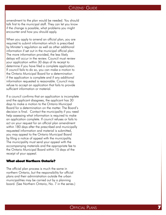amendment to the plan would be needed. You should talk first to the municipal staff. They can let you know if the change is possible, what problems you might encounter and how you should apply.

When you apply to amend an official plan, you are required to submit information which is prescribed by Minister's regulation as well as other additional information if set out in the municipal official plan. The more information provided, the less likely delays will occur in the review. Council must review your application within 30 days of its receipt to determine if you have filed a complete application. If council fails to do so, you can make a motion to the Ontario Municipal Board for a determination if the application is complete and if any additional information requested is reasonable. Council may refuse to accept an application that fails to provide sufficient information or material.

If a council confirms that an application is incomplete and the applicant disagrees, the applicant has 30 days to make a motion to the Ontario Municipal Board for a determination on the matter. The Board's decision is final. Contact the municipality if you need help assessing what information is required to make an application complete. If council refuses or fails to act on your request for an official plan amendment within 180 days after the prescribed and municipally requested information and material is submitted, you may appeal to the Ontario Municipal Board by filing a notice of appeal with the municipality. The municipality must send your appeal with the accompanying materials and the appropriate fee to the Ontario Municipal Board within 15 days of the receipt of your appeal.

## What about Northern Ontario?

The official plan process is much the same in northern Ontario, but the responsibility for official plans and their administration outside the urban municipalities may be carried out by a planning board. (See Northern Ontario, No. 7 in the series.)<br>  $\hbox{\large\bf{O}FFCIAL}$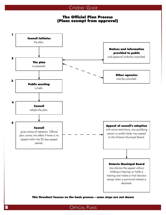# The Official Plan Process (Plans exempt from approval)

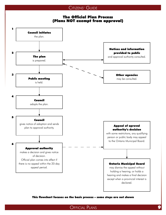

This flowchart focuses on the basic process – some steps are not shown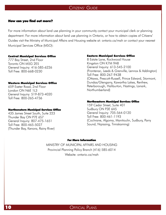#### How can you find out more?

For more information about land use planning in your community contact your municipal clerk or planning department. For more information about land use planning in Ontario, or how to obtain copies of Citizens' Guides visit the Ministry of Municipal Affairs and Housing website at: ontario.ca/mah or contact your nearest Municipal Services Office (MSO):

#### Central Municipal Services Office

777 Bay Street, 2nd Floor Toronto ON M5G 2E5 General Inquiry: 416-585-6226 Toll Free: 800-668-0230

#### Western Municipal Services Office

659 Exeter Road, 2nd Floor London ON N6E 1L3 General Inquiry: 519-873-4020 Toll Free: 800-265-4736

#### Northwestern Municipal Services Office

435 James Street South, Suite 223 Thunder Bay ON P7E 6S7 General Inquiry: 807-475-1651 Toll Free: 800-465-5027 (Thunder Bay, Kenora, Rainy River)

#### Eastern Municipal Services Office

8 Estate Lane, Rockwood House Kingston ON K7M 9A8 General Inquiry: 613-545-2100 (Frontenac, Leeds & Grenville, Lennox & Addington) Toll Free: 800-267-9438 (Ottawa, Prescott-Russell, Prince Edward, Stormont, Dundas/Glengarry, Kawartha Lakes, Renfrew, Peterborough, Haliburton, Hastings, Lanark, Northumberland)

#### Northeastern Municipal Services Office

159 Cedar Street, Suite 401 Sudbury ON P3E 6A5 General Inquiry: 705-564-0120 Toll Free: 800-461-1193 (Cochrane, Algoma, Manitoulin, Sudbury, Parry Sound, Nipissing, Timiskaming)

#### For More Information

MINISTRY OF MUNICIPAL AFFAIRS AND HOUSING Provincial Planning Policy Branch (416) 585-6014 Website: ontario.ca/mah